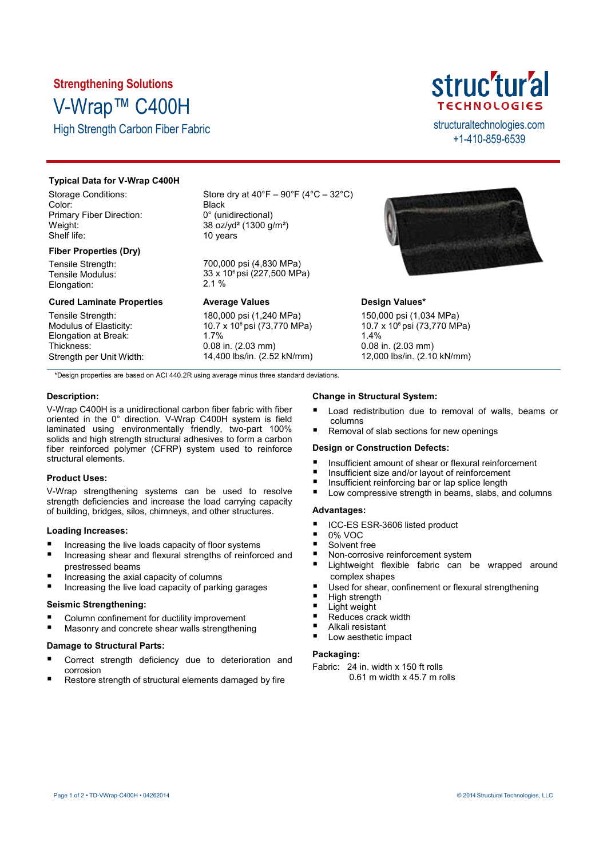# **Strengthening Solutions** V-Wrap™ C400H

High Strength Carbon Fiber Fabric structural technologies.com



+1-410-859-6539

# **Typical Data for V-Wrap C400H**

Storage Conditions: Color: Primary Fiber Direction: Weight: Shelf life:

# **Fiber Properties (Dry)**

Tensile Strength: Tensile Modulus: Elongation:

# **Cured Laminate Properties**

Tensile Strength: Modulus of Elasticity: Elongation at Break: Thickness: Strength per Unit Width: Store dry at  $40^{\circ}F - 90^{\circ}F (4^{\circ}C - 32^{\circ}C)$ **Black** 0° (unidirectional) 38 oz/yd² (1300 g/m²) 10 years

700,000 psi (4,830 MPa) 33 x 10<sup>6</sup> psi (227,500 MPa) 2.1 %

# **Average Values**

180,000 psi (1,240 MPa) 10.7 x 10<sup>6</sup> psi (73,770 MPa) 1.7% 0.08 in. (2.03 mm) 14,400 lbs/in. (2.52 kN/mm)



# **Design Values\***

150,000 psi (1,034 MPa) 10.7 x 10<sup>6</sup> psi (73,770 MPa) 1.4% 0.08 in. (2.03 mm) 12,000 lbs/in. (2.10 kN/mm)

\*Design properties are based on ACI 440.2R using average minus three standard deviations.

# **Description:**

V-Wrap C400H is a unidirectional carbon fiber fabric with fiber oriented in the 0° direction. V-Wrap C400H system is field laminated using environmentally friendly, two-part 100% solids and high strength structural adhesives to form a carbon fiber reinforced polymer (CFRP) system used to reinforce structural elements.

# **Product Uses:**

V-Wrap strengthening systems can be used to resolve strength deficiencies and increase the load carrying capacity of building, bridges, silos, chimneys, and other structures.

### **Loading Increases:**

- Increasing the live loads capacity of floor systems
- Increasing shear and flexural strengths of reinforced and prestressed beams
- Increasing the axial capacity of columns
- Increasing the live load capacity of parking garages

## **Seismic Strengthening:**

- Column confinement for ductility improvement
- Masonry and concrete shear walls strengthening

### **Damage to Structural Parts:**

- Correct strength deficiency due to deterioration and corrosion
- Restore strength of structural elements damaged by fire

### **Change in Structural System:**

- Load redistribution due to removal of walls, beams or columns
- Removal of slab sections for new openings

### **Design or Construction Defects:**

- Insufficient amount of shear or flexural reinforcement
- Insufficient size and/or layout of reinforcement
- Insufficient reinforcing bar or lap splice length
- Low compressive strength in beams, slabs, and columns

# **Advantages:**

- ICC-ES ESR-3606 listed product
- 0% VOC
- Solvent free
- Non-corrosive reinforcement system
- Lightweight flexible fabric can be wrapped around complex shapes
- Used for shear, confinement or flexural strengthening
- High strength
- Light weight
- Reduces crack width
- Alkali resistant
- Low aesthetic impact

# **Packaging:**

Fabric: 24 in. width x 150 ft rolls 0.61 m width x 45.7 m rolls